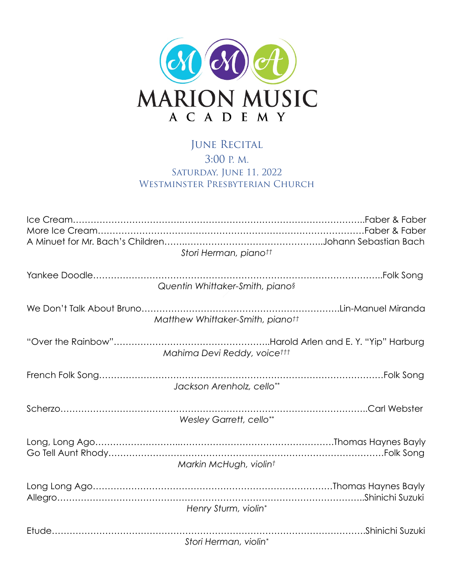

## JUNE RECITAL 3:00 P. M. SATURDAY, JUNE 11, 2022 WESTMINSTER PRESBYTERIAN CHURCH

| Stori Herman, pianott            |  |
|----------------------------------|--|
|                                  |  |
| Quentin Whittaker-Smith, pianos  |  |
| Matthew Whittaker-Smith, pianott |  |
| Mahima Devi Reddy, voicettt      |  |
| Jackson Arenholz, cello**        |  |
|                                  |  |
| <b>Wesley Garrett, cello**</b>   |  |
|                                  |  |
| Markin McHugh, violint           |  |
|                                  |  |
| Henry Sturm, violin*             |  |
|                                  |  |
| Stori Herman, violin*            |  |